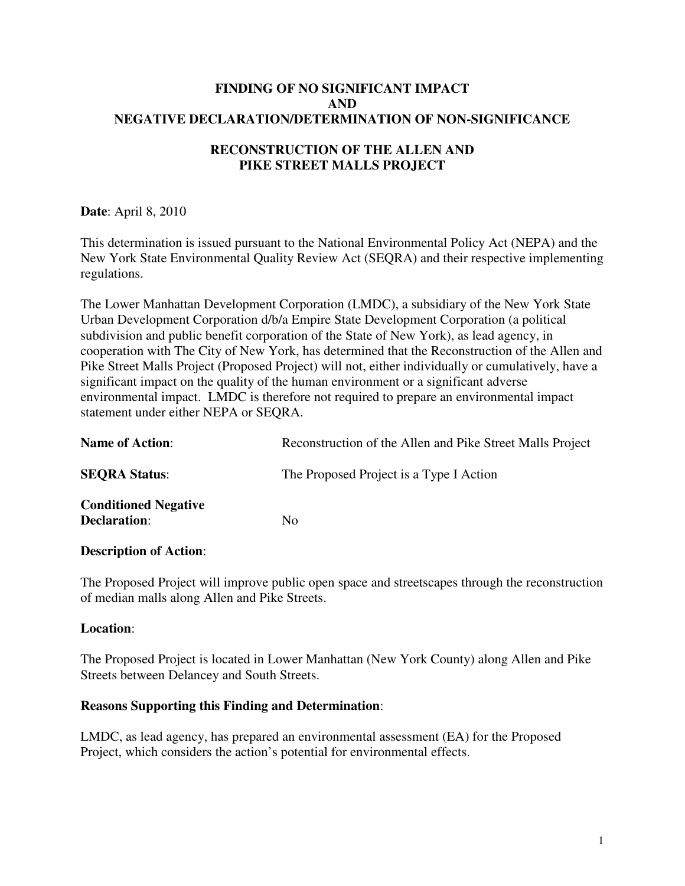## **FINDING OF NO SIGNIFICANT IMPACT AND NEGATIVE DECLARATION/DETERMINATION OF NON-SIGNIFICANCE**

# **RECONSTRUCTION OF THE ALLEN AND PIKE STREET MALLS PROJECT**

**Date**: April 8, 2010

This determination is issued pursuant to the National Environmental Policy Act (NEPA) and the New York State Environmental Quality Review Act (SEQRA) and their respective implementing regulations.

The Lower Manhattan Development Corporation (LMDC), a subsidiary of the New York State Urban Development Corporation d/b/a Empire State Development Corporation (a political subdivision and public benefit corporation of the State of New York), as lead agency, in cooperation with The City of New York, has determined that the Reconstruction of the Allen and Pike Street Malls Project (Proposed Project) will not, either individually or cumulatively, have a significant impact on the quality of the human environment or a significant adverse environmental impact. LMDC is therefore not required to prepare an environmental impact statement under either NEPA or SEQRA.

| <b>Name of Action:</b>                             | Reconstruction of the Allen and Pike Street Malls Project |
|----------------------------------------------------|-----------------------------------------------------------|
| <b>SEORA Status:</b>                               | The Proposed Project is a Type I Action                   |
| <b>Conditioned Negative</b><br><b>Declaration:</b> | No.                                                       |

#### **Description of Action**:

The Proposed Project will improve public open space and streetscapes through the reconstruction of median malls along Allen and Pike Streets.

#### **Location**:

The Proposed Project is located in Lower Manhattan (New York County) along Allen and Pike Streets between Delancey and South Streets.

## **Reasons Supporting this Finding and Determination**:

LMDC, as lead agency, has prepared an environmental assessment (EA) for the Proposed Project, which considers the action's potential for environmental effects.